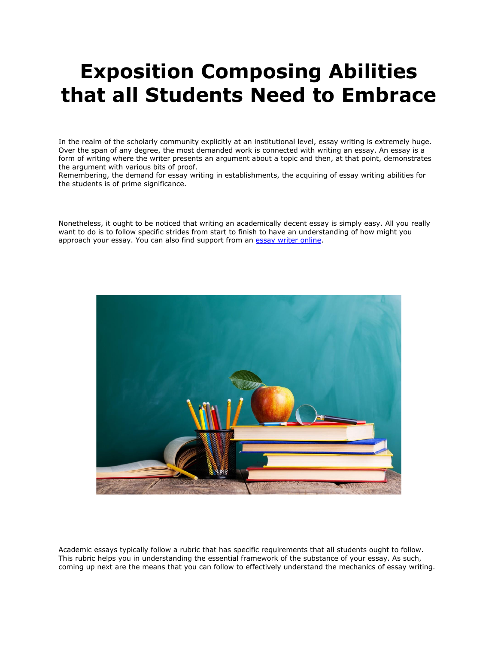# **Exposition Composing Abilities that all Students Need to Embrace**

In the realm of the scholarly community explicitly at an institutional level, essay writing is extremely huge. Over the span of any degree, the most demanded work is connected with writing an essay. An essay is a form of writing where the writer presents an argument about a topic and then, at that point, demonstrates the argument with various bits of proof.

Remembering, the demand for essay writing in establishments, the acquiring of essay writing abilities for the students is of prime significance.

Nonetheless, it ought to be noticed that writing an academically decent essay is simply easy. All you really want to do is to follow specific strides from start to finish to have an understanding of how might you approach your essay. You can also find support from an [essay writer online.](https://www.collegeessay.org/)



Academic essays typically follow a rubric that has specific requirements that all students ought to follow. This rubric helps you in understanding the essential framework of the substance of your essay. As such, coming up next are the means that you can follow to effectively understand the mechanics of essay writing.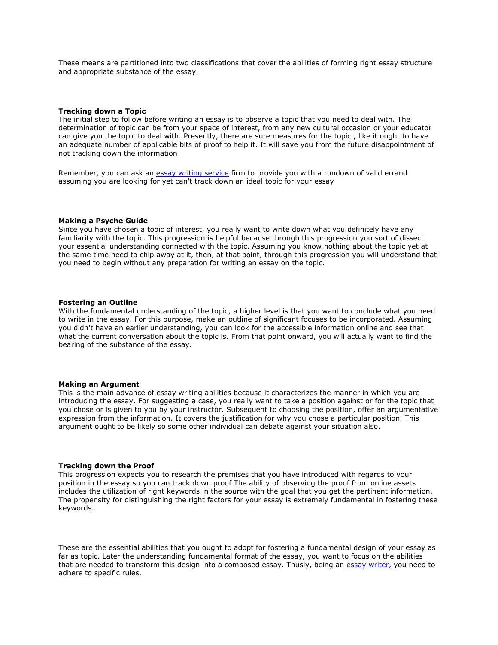These means are partitioned into two classifications that cover the abilities of forming right essay structure and appropriate substance of the essay.

### **Tracking down a Topic**

The initial step to follow before writing an essay is to observe a topic that you need to deal with. The determination of topic can be from your space of interest, from any new cultural occasion or your educator can give you the topic to deal with. Presently, there are sure measures for the topic , like it ought to have an adequate number of applicable bits of proof to help it. It will save you from the future disappointment of not tracking down the information

Remember, you can ask an [essay writing service](https://www.myperfectpaper.net/) firm to provide you with a rundown of valid errand assuming you are looking for yet can't track down an ideal topic for your essay

#### **Making a Psyche Guide**

Since you have chosen a topic of interest, you really want to write down what you definitely have any familiarity with the topic. This progression is helpful because through this progression you sort of dissect your essential understanding connected with the topic. Assuming you know nothing about the topic yet at the same time need to chip away at it, then, at that point, through this progression you will understand that you need to begin without any preparation for writing an essay on the topic.

#### **Fostering an Outline**

With the fundamental understanding of the topic, a higher level is that you want to conclude what you need to write in the essay. For this purpose, make an outline of significant focuses to be incorporated. Assuming you didn't have an earlier understanding, you can look for the accessible information online and see that what the current conversation about the topic is. From that point onward, you will actually want to find the bearing of the substance of the essay.

#### **Making an Argument**

This is the main advance of essay writing abilities because it characterizes the manner in which you are introducing the essay. For suggesting a case, you really want to take a position against or for the topic that you chose or is given to you by your instructor. Subsequent to choosing the position, offer an argumentative expression from the information. It covers the justification for why you chose a particular position. This argument ought to be likely so some other individual can debate against your situation also.

### **Tracking down the Proof**

This progression expects you to research the premises that you have introduced with regards to your position in the essay so you can track down proof The ability of observing the proof from online assets includes the utilization of right keywords in the source with the goal that you get the pertinent information. The propensity for distinguishing the right factors for your essay is extremely fundamental in fostering these keywords.

These are the essential abilities that you ought to adopt for fostering a fundamental design of your essay as far as topic. Later the understanding fundamental format of the essay, you want to focus on the abilities that are needed to transform this design into a composed essay. Thusly, being an [essay writer,](https://www.myperfectwords.com/) you need to adhere to specific rules.